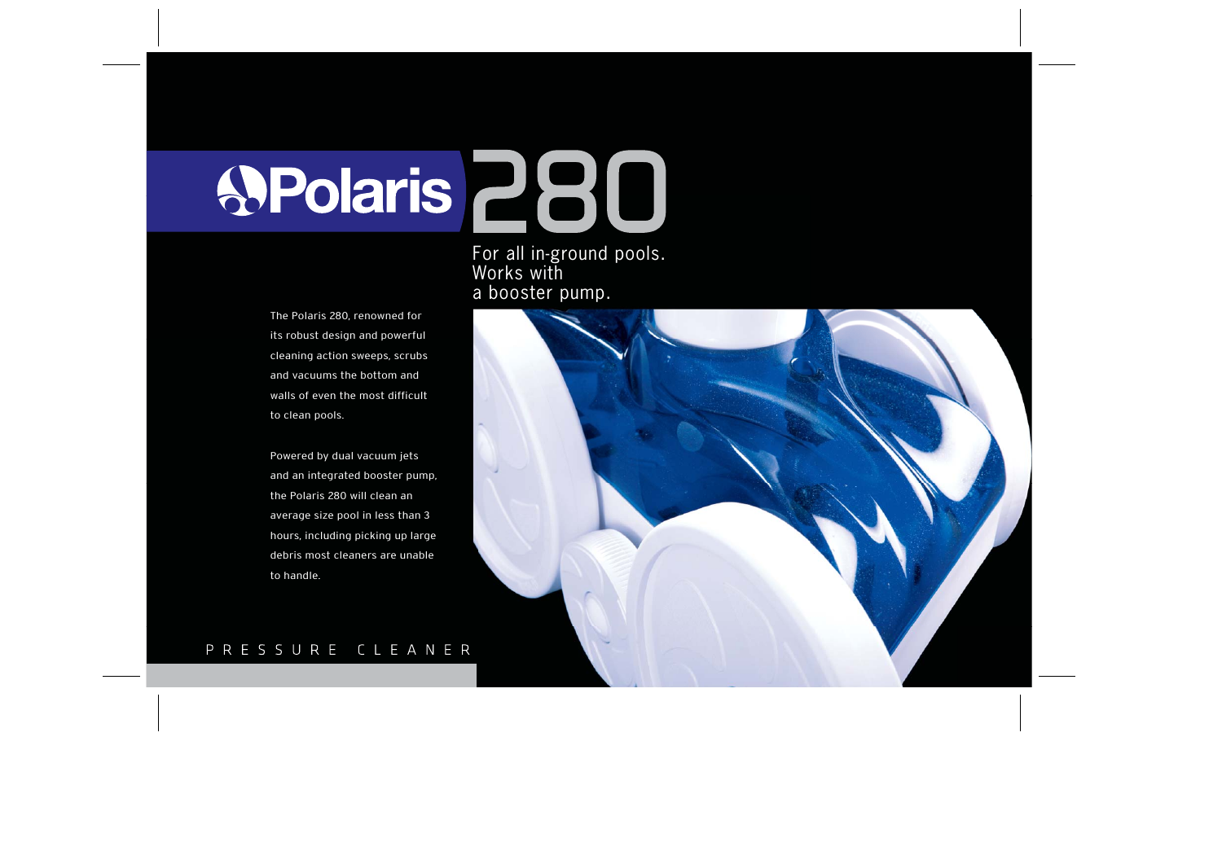# SPolaris 280

For all in-ground pools. Works with a booster pump.

The Polaris 280, renowned for its robust design and powerful cleaning action sweeps, scrubs and vacuums the bottom and walls of even the most difficult to clean pools.

Powered by dual vacuum jets and an integrated booster pump, the Polaris 280 will clean an average size pool in less than 3 hours, including picking up large debris most cleaners are unable to handle.



# PRESSURE CLEANER